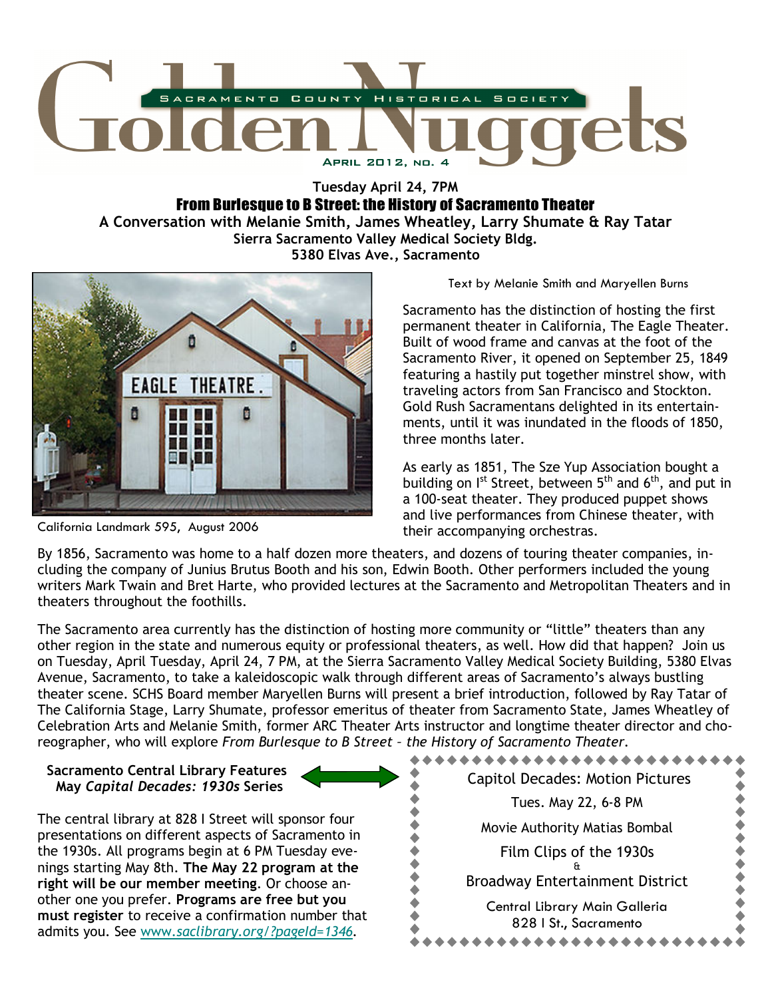

Tuesday April 24, 7PM

From Burlesque to B Street: the History of Sacramento Theater

A Conversation with Melanie Smith, James Wheatley, Larry Shumate & Ray Tatar Sierra Sacramento Valley Medical Society Bldg. 5380 Elvas Ave., Sacramento



California Landmark 595, August 2006

Text by Melanie Smith and Maryellen Burns

Sacramento has the distinction of hosting the first permanent theater in California, The Eagle Theater. Built of wood frame and canvas at the foot of the Sacramento River, it opened on September 25, 1849 featuring a hastily put together minstrel show, with traveling actors from San Francisco and Stockton. Gold Rush Sacramentans delighted in its entertainments, until it was inundated in the floods of 1850, three months later.

As early as 1851, The Sze Yup Association bought a building on  $I^{st}$  Street, between  $5^{th}$  and  $6^{th}$ , and put in a 100-seat theater. They produced puppet shows and live performances from Chinese theater, with their accompanying orchestras.

By 1856, Sacramento was home to a half dozen more theaters, and dozens of touring theater companies, including the company of Junius Brutus Booth and his son, Edwin Booth. Other performers included the young writers Mark Twain and Bret Harte, who provided lectures at the Sacramento and Metropolitan Theaters and in theaters throughout the foothills.

The Sacramento area currently has the distinction of hosting more community or "little" theaters than any other region in the state and numerous equity or professional theaters, as well. How did that happen? Join us on Tuesday, April Tuesday, April 24, 7 PM, at the Sierra Sacramento Valley Medical Society Building, 5380 Elvas Avenue, Sacramento, to take a kaleidoscopic walk through different areas of Sacramento's always bustling theater scene. SCHS Board member Maryellen Burns will present a brief introduction, followed by Ray Tatar of The California Stage, Larry Shumate, professor emeritus of theater from Sacramento State, James Wheatley of Celebration Arts and Melanie Smith, former ARC Theater Arts instructor and longtime theater director and choreographer, who will explore From Burlesque to B Street – the History of Sacramento Theater.

## Sacramento Central Library Features May Capital Decades: 1930s Series

The central library at 828 I Street will sponsor four presentations on different aspects of Sacramento in the 1930s. All programs begin at 6 PM Tuesday evenings starting May 8th. The May 22 program at the right will be our member meeting. Or choose another one you prefer. Programs are free but you must register to receive a confirmation number that admits you. See www.saclibrary.org/?pageId=1346.

# \*\*\*\*\*\*\*\*\*\*\*\*\*\*\*\*\*\*\*\*\* Capitol Decades: Motion Pictures Tues. May 22, 6-8 PM ....... Movie Authority Matias Bombal Film Clips of the 1930s & Broadway Entertainment District Central Library Main Galleria 828 I St., Sacramento \*\*\*\*\*\*\*\*\*\*\*\*\*\*\*\*